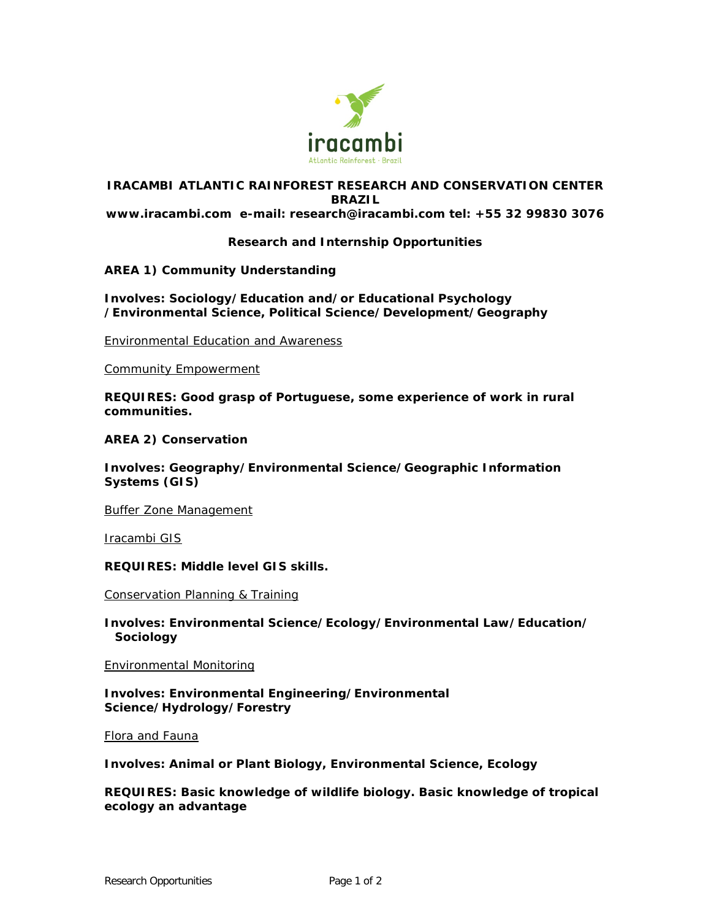

#### **IRACAMBI ATLANTIC RAINFOREST RESEARCH AND CONSERVATION CENTER BRAZIL www.iracambi.com e-mail: research@iracambi.com tel: +55 32 99830 3076**

# **Research and Internship Opportunities**

**AREA 1) Community Understanding**

**Involves: Sociology/Education and/or Educational Psychology /Environmental Science, Political Science/Development/Geography** 

Environmental Education and Awareness

Community Empowerment

**REQUIRES: Good grasp of Portuguese, some experience of work in rural communities.** 

**AREA 2) Conservation**

**Involves: Geography/Environmental Science/Geographic Information Systems (GIS)**

Buffer Zone Management

Iracambi GIS

**REQUIRES: Middle level GIS skills.** 

Conservation Planning & Training

### **Involves: Environmental Science/Ecology/Environmental Law/Education/ Sociology**

Environmental Monitoring

**Involves: Environmental Engineering/Environmental Science/Hydrology/Forestry**

Flora and Fauna

**Involves: Animal or Plant Biology, Environmental Science, Ecology**

**REQUIRES: Basic knowledge of wildlife biology. Basic knowledge of tropical ecology an advantage**